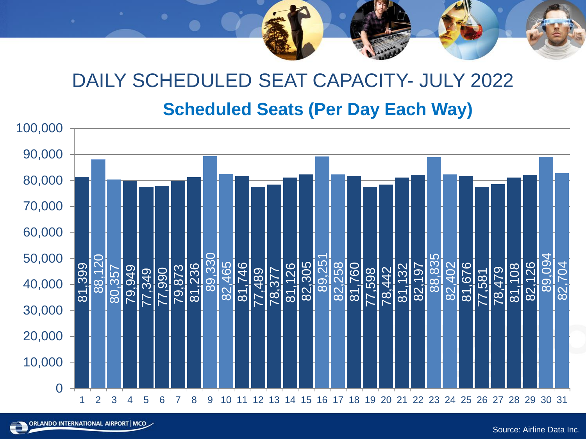# **Scheduled Seats (Per Day Each Way)** DAILY SCHEDULED SEAT CAPACITY- JULY 2022

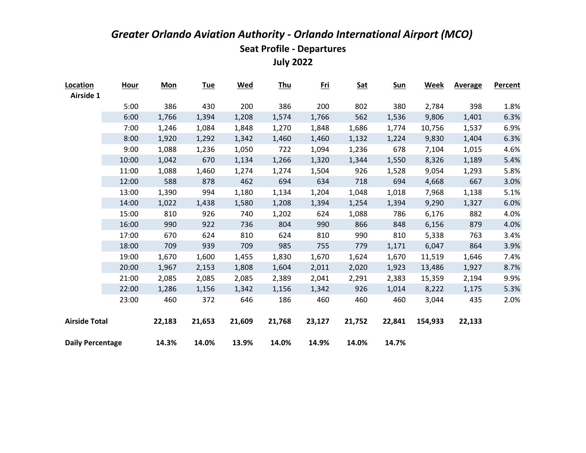| Location                | <b>Hour</b> | <b>Mon</b> | <b>Tue</b> | <b>Wed</b> | <u>Thu</u> | <u>Fri</u> | <b>Sat</b> | <u>Sun</u> | Week    | <b>Average</b> | Percent |
|-------------------------|-------------|------------|------------|------------|------------|------------|------------|------------|---------|----------------|---------|
| Airside 1               |             |            |            |            |            |            |            |            |         |                |         |
|                         | 5:00        | 386        | 430        | 200        | 386        | 200        | 802        | 380        | 2,784   | 398            | 1.8%    |
|                         | 6:00        | 1,766      | 1,394      | 1,208      | 1,574      | 1,766      | 562        | 1,536      | 9,806   | 1,401          | 6.3%    |
|                         | 7:00        | 1,246      | 1,084      | 1,848      | 1,270      | 1,848      | 1,686      | 1,774      | 10,756  | 1,537          | 6.9%    |
|                         | 8:00        | 1,920      | 1,292      | 1,342      | 1,460      | 1,460      | 1,132      | 1,224      | 9,830   | 1,404          | 6.3%    |
|                         | 9:00        | 1,088      | 1,236      | 1,050      | 722        | 1,094      | 1,236      | 678        | 7,104   | 1,015          | 4.6%    |
|                         | 10:00       | 1,042      | 670        | 1,134      | 1,266      | 1,320      | 1,344      | 1,550      | 8,326   | 1,189          | 5.4%    |
|                         | 11:00       | 1,088      | 1,460      | 1,274      | 1,274      | 1,504      | 926        | 1,528      | 9,054   | 1,293          | 5.8%    |
|                         | 12:00       | 588        | 878        | 462        | 694        | 634        | 718        | 694        | 4,668   | 667            | 3.0%    |
|                         | 13:00       | 1,390      | 994        | 1,180      | 1,134      | 1,204      | 1,048      | 1,018      | 7,968   | 1,138          | 5.1%    |
|                         | 14:00       | 1,022      | 1,438      | 1,580      | 1,208      | 1,394      | 1,254      | 1,394      | 9,290   | 1,327          | 6.0%    |
|                         | 15:00       | 810        | 926        | 740        | 1,202      | 624        | 1,088      | 786        | 6,176   | 882            | 4.0%    |
|                         | 16:00       | 990        | 922        | 736        | 804        | 990        | 866        | 848        | 6,156   | 879            | 4.0%    |
|                         | 17:00       | 670        | 624        | 810        | 624        | 810        | 990        | 810        | 5,338   | 763            | 3.4%    |
|                         | 18:00       | 709        | 939        | 709        | 985        | 755        | 779        | 1,171      | 6,047   | 864            | 3.9%    |
|                         | 19:00       | 1,670      | 1,600      | 1,455      | 1,830      | 1,670      | 1,624      | 1,670      | 11,519  | 1,646          | 7.4%    |
|                         | 20:00       | 1,967      | 2,153      | 1,808      | 1,604      | 2,011      | 2,020      | 1,923      | 13,486  | 1,927          | 8.7%    |
|                         | 21:00       | 2,085      | 2,085      | 2,085      | 2,389      | 2,041      | 2,291      | 2,383      | 15,359  | 2,194          | 9.9%    |
|                         | 22:00       | 1,286      | 1,156      | 1,342      | 1,156      | 1,342      | 926        | 1,014      | 8,222   | 1,175          | 5.3%    |
|                         | 23:00       | 460        | 372        | 646        | 186        | 460        | 460        | 460        | 3,044   | 435            | 2.0%    |
| <b>Airside Total</b>    |             | 22,183     | 21,653     | 21,609     | 21,768     | 23,127     | 21,752     | 22,841     | 154,933 | 22,133         |         |
| <b>Daily Percentage</b> |             | 14.3%      | 14.0%      | 13.9%      | 14.0%      | 14.9%      | 14.0%      | 14.7%      |         |                |         |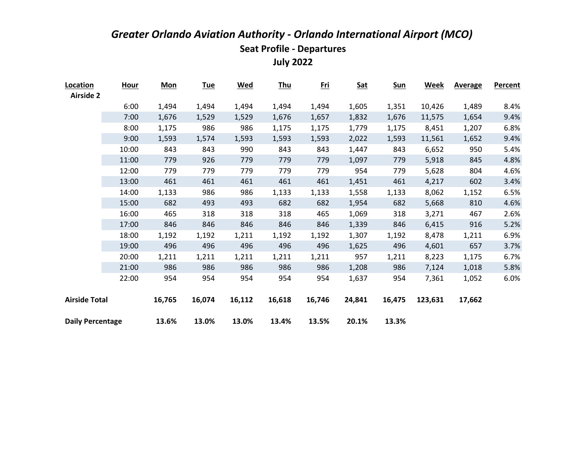| Location                | <b>Hour</b> | <b>Mon</b> | <b>Tue</b> | <b>Wed</b> | <u>Thu</u> | <u>Fri</u> | <b>Sat</b> | <b>Sun</b> | <b>Week</b> | <b>Average</b> | <b>Percent</b> |
|-------------------------|-------------|------------|------------|------------|------------|------------|------------|------------|-------------|----------------|----------------|
| <b>Airside 2</b>        |             |            |            |            |            |            |            |            |             |                |                |
|                         | 6:00        | 1,494      | 1,494      | 1,494      | 1,494      | 1,494      | 1,605      | 1,351      | 10,426      | 1,489          | 8.4%           |
|                         | 7:00        | 1,676      | 1,529      | 1,529      | 1,676      | 1,657      | 1,832      | 1,676      | 11,575      | 1,654          | 9.4%           |
|                         | 8:00        | 1,175      | 986        | 986        | 1,175      | 1,175      | 1,779      | 1,175      | 8,451       | 1,207          | 6.8%           |
|                         | 9:00        | 1,593      | 1,574      | 1,593      | 1,593      | 1,593      | 2,022      | 1,593      | 11,561      | 1,652          | 9.4%           |
|                         | 10:00       | 843        | 843        | 990        | 843        | 843        | 1,447      | 843        | 6,652       | 950            | 5.4%           |
|                         | 11:00       | 779        | 926        | 779        | 779        | 779        | 1,097      | 779        | 5,918       | 845            | 4.8%           |
|                         | 12:00       | 779        | 779        | 779        | 779        | 779        | 954        | 779        | 5,628       | 804            | 4.6%           |
|                         | 13:00       | 461        | 461        | 461        | 461        | 461        | 1,451      | 461        | 4,217       | 602            | 3.4%           |
|                         | 14:00       | 1,133      | 986        | 986        | 1,133      | 1,133      | 1,558      | 1,133      | 8,062       | 1,152          | 6.5%           |
|                         | 15:00       | 682        | 493        | 493        | 682        | 682        | 1,954      | 682        | 5,668       | 810            | 4.6%           |
|                         | 16:00       | 465        | 318        | 318        | 318        | 465        | 1,069      | 318        | 3,271       | 467            | 2.6%           |
|                         | 17:00       | 846        | 846        | 846        | 846        | 846        | 1,339      | 846        | 6,415       | 916            | 5.2%           |
|                         | 18:00       | 1,192      | 1,192      | 1,211      | 1,192      | 1,192      | 1,307      | 1,192      | 8,478       | 1,211          | 6.9%           |
|                         | 19:00       | 496        | 496        | 496        | 496        | 496        | 1,625      | 496        | 4,601       | 657            | 3.7%           |
|                         | 20:00       | 1,211      | 1,211      | 1,211      | 1,211      | 1,211      | 957        | 1,211      | 8,223       | 1,175          | 6.7%           |
|                         | 21:00       | 986        | 986        | 986        | 986        | 986        | 1,208      | 986        | 7,124       | 1,018          | 5.8%           |
|                         | 22:00       | 954        | 954        | 954        | 954        | 954        | 1,637      | 954        | 7,361       | 1,052          | 6.0%           |
| <b>Airside Total</b>    |             | 16,765     | 16,074     | 16,112     | 16,618     | 16,746     | 24,841     | 16,475     | 123,631     | 17,662         |                |
| <b>Daily Percentage</b> |             | 13.6%      | 13.0%      | 13.0%      | 13.4%      | 13.5%      | 20.1%      | 13.3%      |             |                |                |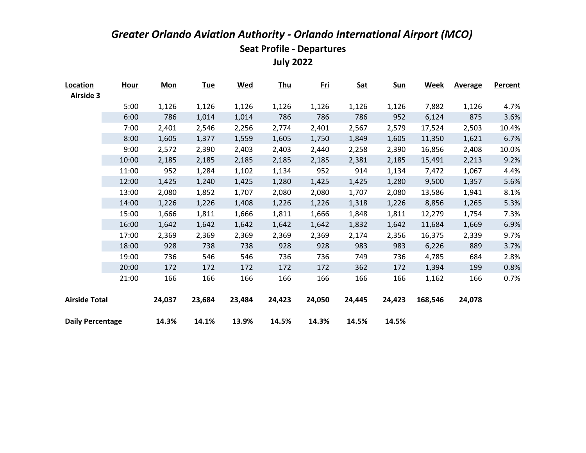| Location                | <b>Hour</b> | <b>Mon</b> | <u>Tue</u> | <u>Wed</u> | <u>Thu</u> | <u>Fri</u> | <b>Sat</b> | <u>Sun</u> | <b>Week</b> | <b>Average</b> | Percent |
|-------------------------|-------------|------------|------------|------------|------------|------------|------------|------------|-------------|----------------|---------|
| <b>Airside 3</b>        |             |            |            |            |            |            |            |            |             |                |         |
|                         | 5:00        | 1,126      | 1,126      | 1,126      | 1,126      | 1,126      | 1,126      | 1,126      | 7,882       | 1,126          | 4.7%    |
|                         | 6:00        | 786        | 1,014      | 1,014      | 786        | 786        | 786        | 952        | 6,124       | 875            | 3.6%    |
|                         | 7:00        | 2,401      | 2,546      | 2,256      | 2,774      | 2,401      | 2,567      | 2,579      | 17,524      | 2,503          | 10.4%   |
|                         | 8:00        | 1,605      | 1,377      | 1,559      | 1,605      | 1,750      | 1,849      | 1,605      | 11,350      | 1,621          | 6.7%    |
|                         | 9:00        | 2,572      | 2,390      | 2,403      | 2,403      | 2,440      | 2,258      | 2,390      | 16,856      | 2,408          | 10.0%   |
|                         | 10:00       | 2,185      | 2,185      | 2,185      | 2,185      | 2,185      | 2,381      | 2,185      | 15,491      | 2,213          | 9.2%    |
|                         | 11:00       | 952        | 1,284      | 1,102      | 1,134      | 952        | 914        | 1,134      | 7,472       | 1,067          | 4.4%    |
|                         | 12:00       | 1,425      | 1,240      | 1,425      | 1,280      | 1,425      | 1,425      | 1,280      | 9,500       | 1,357          | 5.6%    |
|                         | 13:00       | 2,080      | 1,852      | 1,707      | 2,080      | 2,080      | 1,707      | 2,080      | 13,586      | 1,941          | 8.1%    |
|                         | 14:00       | 1,226      | 1,226      | 1,408      | 1,226      | 1,226      | 1,318      | 1,226      | 8,856       | 1,265          | 5.3%    |
|                         | 15:00       | 1,666      | 1,811      | 1,666      | 1,811      | 1,666      | 1,848      | 1,811      | 12,279      | 1,754          | 7.3%    |
|                         | 16:00       | 1,642      | 1,642      | 1,642      | 1,642      | 1,642      | 1,832      | 1,642      | 11,684      | 1,669          | 6.9%    |
|                         | 17:00       | 2,369      | 2,369      | 2,369      | 2,369      | 2,369      | 2,174      | 2,356      | 16,375      | 2,339          | 9.7%    |
|                         | 18:00       | 928        | 738        | 738        | 928        | 928        | 983        | 983        | 6,226       | 889            | 3.7%    |
|                         | 19:00       | 736        | 546        | 546        | 736        | 736        | 749        | 736        | 4,785       | 684            | 2.8%    |
|                         | 20:00       | 172        | 172        | 172        | 172        | 172        | 362        | 172        | 1,394       | 199            | 0.8%    |
|                         | 21:00       | 166        | 166        | 166        | 166        | 166        | 166        | 166        | 1,162       | 166            | 0.7%    |
| <b>Airside Total</b>    |             | 24,037     | 23,684     | 23,484     | 24,423     | 24,050     | 24,445     | 24,423     | 168,546     | 24,078         |         |
| <b>Daily Percentage</b> |             | 14.3%      | 14.1%      | 13.9%      | 14.5%      | 14.3%      | 14.5%      | 14.5%      |             |                |         |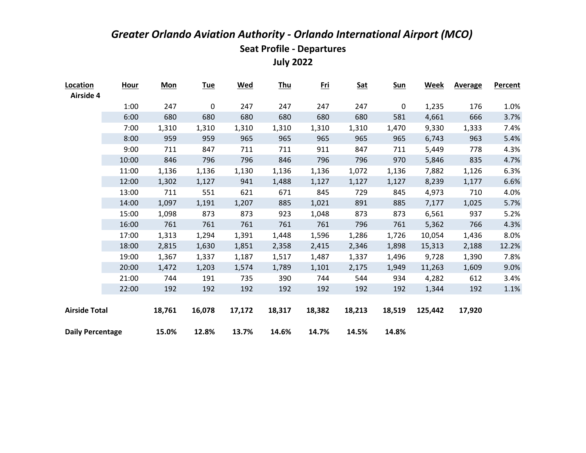| Location                | <u>Hour</u> | <b>Mon</b> | <u>Tue</u>  | <u>Wed</u> | <u>Thu</u> | <u>Fri</u> | <b>Sat</b> | <u>Sun</u>  | <b>Week</b> | <b>Average</b> | <b>Percent</b> |
|-------------------------|-------------|------------|-------------|------------|------------|------------|------------|-------------|-------------|----------------|----------------|
| Airside 4               |             |            |             |            |            |            |            |             |             |                |                |
|                         | 1:00        | 247        | $\mathbf 0$ | 247        | 247        | 247        | 247        | $\mathbf 0$ | 1,235       | 176            | 1.0%           |
|                         | 6:00        | 680        | 680         | 680        | 680        | 680        | 680        | 581         | 4,661       | 666            | 3.7%           |
|                         | 7:00        | 1,310      | 1,310       | 1,310      | 1,310      | 1,310      | 1,310      | 1,470       | 9,330       | 1,333          | 7.4%           |
|                         | 8:00        | 959        | 959         | 965        | 965        | 965        | 965        | 965         | 6,743       | 963            | 5.4%           |
|                         | 9:00        | 711        | 847         | 711        | 711        | 911        | 847        | 711         | 5,449       | 778            | 4.3%           |
|                         | 10:00       | 846        | 796         | 796        | 846        | 796        | 796        | 970         | 5,846       | 835            | 4.7%           |
|                         | 11:00       | 1,136      | 1,136       | 1,130      | 1,136      | 1,136      | 1,072      | 1,136       | 7,882       | 1,126          | 6.3%           |
|                         | 12:00       | 1,302      | 1,127       | 941        | 1,488      | 1,127      | 1,127      | 1,127       | 8,239       | 1,177          | 6.6%           |
|                         | 13:00       | 711        | 551         | 621        | 671        | 845        | 729        | 845         | 4,973       | 710            | 4.0%           |
|                         | 14:00       | 1,097      | 1,191       | 1,207      | 885        | 1,021      | 891        | 885         | 7,177       | 1,025          | 5.7%           |
|                         | 15:00       | 1,098      | 873         | 873        | 923        | 1,048      | 873        | 873         | 6,561       | 937            | 5.2%           |
|                         | 16:00       | 761        | 761         | 761        | 761        | 761        | 796        | 761         | 5,362       | 766            | 4.3%           |
|                         | 17:00       | 1,313      | 1,294       | 1,391      | 1,448      | 1,596      | 1,286      | 1,726       | 10,054      | 1,436          | 8.0%           |
|                         | 18:00       | 2,815      | 1,630       | 1,851      | 2,358      | 2,415      | 2,346      | 1,898       | 15,313      | 2,188          | 12.2%          |
|                         | 19:00       | 1,367      | 1,337       | 1,187      | 1,517      | 1,487      | 1,337      | 1,496       | 9,728       | 1,390          | 7.8%           |
|                         | 20:00       | 1,472      | 1,203       | 1,574      | 1,789      | 1,101      | 2,175      | 1,949       | 11,263      | 1,609          | 9.0%           |
|                         | 21:00       | 744        | 191         | 735        | 390        | 744        | 544        | 934         | 4,282       | 612            | 3.4%           |
|                         | 22:00       | 192        | 192         | 192        | 192        | 192        | 192        | 192         | 1,344       | 192            | 1.1%           |
|                         |             |            |             |            |            |            |            |             |             |                |                |
| <b>Airside Total</b>    |             | 18,761     | 16,078      | 17,172     | 18,317     | 18,382     | 18,213     | 18,519      | 125,442     | 17,920         |                |
| <b>Daily Percentage</b> |             | 15.0%      | 12.8%       | 13.7%      | 14.6%      | 14.7%      | 14.5%      | 14.8%       |             |                |                |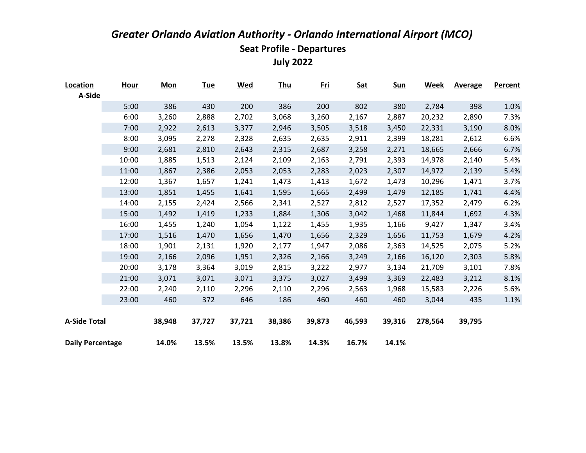| Location                | <b>Hour</b> | <b>Mon</b> | <u>Tue</u> | <u>Wed</u> | <u>Thu</u> | <u>Fri</u> | <b>Sat</b> | <u>Sun</u> | Week    | <b>Average</b> | Percent |
|-------------------------|-------------|------------|------------|------------|------------|------------|------------|------------|---------|----------------|---------|
| A-Side                  |             |            |            |            |            |            |            |            |         |                |         |
|                         | 5:00        | 386        | 430        | 200        | 386        | 200        | 802        | 380        | 2,784   | 398            | 1.0%    |
|                         | 6:00        | 3,260      | 2,888      | 2,702      | 3,068      | 3,260      | 2,167      | 2,887      | 20,232  | 2,890          | 7.3%    |
|                         | 7:00        | 2,922      | 2,613      | 3,377      | 2,946      | 3,505      | 3,518      | 3,450      | 22,331  | 3,190          | 8.0%    |
|                         | 8:00        | 3,095      | 2,278      | 2,328      | 2,635      | 2,635      | 2,911      | 2,399      | 18,281  | 2,612          | 6.6%    |
|                         | 9:00        | 2,681      | 2,810      | 2,643      | 2,315      | 2,687      | 3,258      | 2,271      | 18,665  | 2,666          | 6.7%    |
|                         | 10:00       | 1,885      | 1,513      | 2,124      | 2,109      | 2,163      | 2,791      | 2,393      | 14,978  | 2,140          | 5.4%    |
|                         | 11:00       | 1,867      | 2,386      | 2,053      | 2,053      | 2,283      | 2,023      | 2,307      | 14,972  | 2,139          | 5.4%    |
|                         | 12:00       | 1,367      | 1,657      | 1,241      | 1,473      | 1,413      | 1,672      | 1,473      | 10,296  | 1,471          | 3.7%    |
|                         | 13:00       | 1,851      | 1,455      | 1,641      | 1,595      | 1,665      | 2,499      | 1,479      | 12,185  | 1,741          | 4.4%    |
|                         | 14:00       | 2,155      | 2,424      | 2,566      | 2,341      | 2,527      | 2,812      | 2,527      | 17,352  | 2,479          | 6.2%    |
|                         | 15:00       | 1,492      | 1,419      | 1,233      | 1,884      | 1,306      | 3,042      | 1,468      | 11,844  | 1,692          | 4.3%    |
|                         | 16:00       | 1,455      | 1,240      | 1,054      | 1,122      | 1,455      | 1,935      | 1,166      | 9,427   | 1,347          | 3.4%    |
|                         | 17:00       | 1,516      | 1,470      | 1,656      | 1,470      | 1,656      | 2,329      | 1,656      | 11,753  | 1,679          | 4.2%    |
|                         | 18:00       | 1,901      | 2,131      | 1,920      | 2,177      | 1,947      | 2,086      | 2,363      | 14,525  | 2,075          | 5.2%    |
|                         | 19:00       | 2,166      | 2,096      | 1,951      | 2,326      | 2,166      | 3,249      | 2,166      | 16,120  | 2,303          | 5.8%    |
|                         | 20:00       | 3,178      | 3,364      | 3,019      | 2,815      | 3,222      | 2,977      | 3,134      | 21,709  | 3,101          | 7.8%    |
|                         | 21:00       | 3,071      | 3,071      | 3,071      | 3,375      | 3,027      | 3,499      | 3,369      | 22,483  | 3,212          | 8.1%    |
|                         | 22:00       | 2,240      | 2,110      | 2,296      | 2,110      | 2,296      | 2,563      | 1,968      | 15,583  | 2,226          | 5.6%    |
|                         | 23:00       | 460        | 372        | 646        | 186        | 460        | 460        | 460        | 3,044   | 435            | 1.1%    |
|                         |             |            |            |            |            |            |            |            |         |                |         |
| <b>A-Side Total</b>     |             | 38,948     | 37,727     | 37,721     | 38,386     | 39,873     | 46,593     | 39,316     | 278,564 | 39,795         |         |
|                         |             |            |            |            |            |            |            |            |         |                |         |
| <b>Daily Percentage</b> |             | 14.0%      | 13.5%      | 13.5%      | 13.8%      | 14.3%      | 16.7%      | 14.1%      |         |                |         |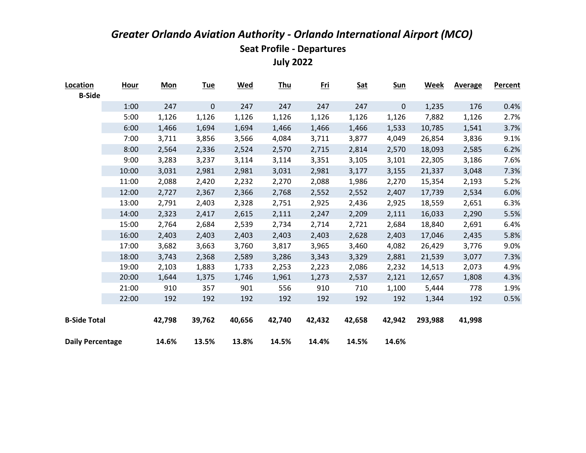| Location                | <b>Hour</b> | <b>Mon</b> | <u>Tue</u>       | <u>Wed</u> | <u>Thu</u> | <u>Fri</u> | <b>Sat</b> | <u>Sun</u>  | <u>Week</u> | <b>Average</b> | <b>Percent</b> |
|-------------------------|-------------|------------|------------------|------------|------------|------------|------------|-------------|-------------|----------------|----------------|
| <b>B-Side</b>           |             |            |                  |            |            |            |            |             |             |                |                |
|                         | 1:00        | 247        | $\boldsymbol{0}$ | 247        | 247        | 247        | 247        | $\mathbf 0$ | 1,235       | 176            | 0.4%           |
|                         | 5:00        | 1,126      | 1,126            | 1,126      | 1,126      | 1,126      | 1,126      | 1,126       | 7,882       | 1,126          | 2.7%           |
|                         | 6:00        | 1,466      | 1,694            | 1,694      | 1,466      | 1,466      | 1,466      | 1,533       | 10,785      | 1,541          | 3.7%           |
|                         | 7:00        | 3,711      | 3,856            | 3,566      | 4,084      | 3,711      | 3,877      | 4,049       | 26,854      | 3,836          | 9.1%           |
|                         | 8:00        | 2,564      | 2,336            | 2,524      | 2,570      | 2,715      | 2,814      | 2,570       | 18,093      | 2,585          | 6.2%           |
|                         | 9:00        | 3,283      | 3,237            | 3,114      | 3,114      | 3,351      | 3,105      | 3,101       | 22,305      | 3,186          | 7.6%           |
|                         | 10:00       | 3,031      | 2,981            | 2,981      | 3,031      | 2,981      | 3,177      | 3,155       | 21,337      | 3,048          | 7.3%           |
|                         | 11:00       | 2,088      | 2,420            | 2,232      | 2,270      | 2,088      | 1,986      | 2,270       | 15,354      | 2,193          | 5.2%           |
|                         | 12:00       | 2,727      | 2,367            | 2,366      | 2,768      | 2,552      | 2,552      | 2,407       | 17,739      | 2,534          | 6.0%           |
|                         | 13:00       | 2,791      | 2,403            | 2,328      | 2,751      | 2,925      | 2,436      | 2,925       | 18,559      | 2,651          | 6.3%           |
|                         | 14:00       | 2,323      | 2,417            | 2,615      | 2,111      | 2,247      | 2,209      | 2,111       | 16,033      | 2,290          | 5.5%           |
|                         | 15:00       | 2,764      | 2,684            | 2,539      | 2,734      | 2,714      | 2,721      | 2,684       | 18,840      | 2,691          | 6.4%           |
|                         | 16:00       | 2,403      | 2,403            | 2,403      | 2,403      | 2,403      | 2,628      | 2,403       | 17,046      | 2,435          | 5.8%           |
|                         | 17:00       | 3,682      | 3,663            | 3,760      | 3,817      | 3,965      | 3,460      | 4,082       | 26,429      | 3,776          | 9.0%           |
|                         | 18:00       | 3,743      | 2,368            | 2,589      | 3,286      | 3,343      | 3,329      | 2,881       | 21,539      | 3,077          | 7.3%           |
|                         | 19:00       | 2,103      | 1,883            | 1,733      | 2,253      | 2,223      | 2,086      | 2,232       | 14,513      | 2,073          | 4.9%           |
|                         | 20:00       | 1,644      | 1,375            | 1,746      | 1,961      | 1,273      | 2,537      | 2,121       | 12,657      | 1,808          | 4.3%           |
|                         | 21:00       | 910        | 357              | 901        | 556        | 910        | 710        | 1,100       | 5,444       | 778            | 1.9%           |
|                         | 22:00       | 192        | 192              | 192        | 192        | 192        | 192        | 192         | 1,344       | 192            | 0.5%           |
|                         |             |            |                  |            |            |            |            |             |             |                |                |
| <b>B-Side Total</b>     |             | 42,798     | 39,762           | 40,656     | 42,740     | 42,432     | 42,658     | 42,942      | 293,988     | 41,998         |                |
|                         |             |            |                  |            |            |            |            |             |             |                |                |
| <b>Daily Percentage</b> |             | 14.6%      | 13.5%            | 13.8%      | 14.5%      | 14.4%      | 14.5%      | 14.6%       |             |                |                |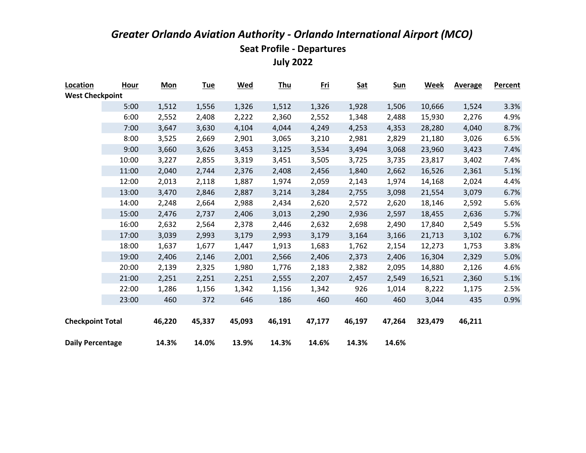| Location                | Hour  | <b>Mon</b> | <u>Tue</u> | <u>Wed</u> | <u>Thu</u> | <u>Fri</u> | <b>Sat</b> | <u>Sun</u> | Week    | <b>Average</b> | <b>Percent</b> |
|-------------------------|-------|------------|------------|------------|------------|------------|------------|------------|---------|----------------|----------------|
| <b>West Checkpoint</b>  |       |            |            |            |            |            |            |            |         |                |                |
|                         | 5:00  | 1,512      | 1,556      | 1,326      | 1,512      | 1,326      | 1,928      | 1,506      | 10,666  | 1,524          | 3.3%           |
|                         | 6:00  | 2,552      | 2,408      | 2,222      | 2,360      | 2,552      | 1,348      | 2,488      | 15,930  | 2,276          | 4.9%           |
|                         | 7:00  | 3,647      | 3,630      | 4,104      | 4,044      | 4,249      | 4,253      | 4,353      | 28,280  | 4,040          | 8.7%           |
|                         | 8:00  | 3,525      | 2,669      | 2,901      | 3,065      | 3,210      | 2,981      | 2,829      | 21,180  | 3,026          | 6.5%           |
|                         | 9:00  | 3,660      | 3,626      | 3,453      | 3,125      | 3,534      | 3,494      | 3,068      | 23,960  | 3,423          | 7.4%           |
|                         | 10:00 | 3,227      | 2,855      | 3,319      | 3,451      | 3,505      | 3,725      | 3,735      | 23,817  | 3,402          | 7.4%           |
|                         | 11:00 | 2,040      | 2,744      | 2,376      | 2,408      | 2,456      | 1,840      | 2,662      | 16,526  | 2,361          | 5.1%           |
|                         | 12:00 | 2,013      | 2,118      | 1,887      | 1,974      | 2,059      | 2,143      | 1,974      | 14,168  | 2,024          | 4.4%           |
|                         | 13:00 | 3,470      | 2,846      | 2,887      | 3,214      | 3,284      | 2,755      | 3,098      | 21,554  | 3,079          | 6.7%           |
|                         | 14:00 | 2,248      | 2,664      | 2,988      | 2,434      | 2,620      | 2,572      | 2,620      | 18,146  | 2,592          | 5.6%           |
|                         | 15:00 | 2,476      | 2,737      | 2,406      | 3,013      | 2,290      | 2,936      | 2,597      | 18,455  | 2,636          | 5.7%           |
|                         | 16:00 | 2,632      | 2,564      | 2,378      | 2,446      | 2,632      | 2,698      | 2,490      | 17,840  | 2,549          | 5.5%           |
|                         | 17:00 | 3,039      | 2,993      | 3,179      | 2,993      | 3,179      | 3,164      | 3,166      | 21,713  | 3,102          | 6.7%           |
|                         | 18:00 | 1,637      | 1,677      | 1,447      | 1,913      | 1,683      | 1,762      | 2,154      | 12,273  | 1,753          | 3.8%           |
|                         | 19:00 | 2,406      | 2,146      | 2,001      | 2,566      | 2,406      | 2,373      | 2,406      | 16,304  | 2,329          | 5.0%           |
|                         | 20:00 | 2,139      | 2,325      | 1,980      | 1,776      | 2,183      | 2,382      | 2,095      | 14,880  | 2,126          | 4.6%           |
|                         | 21:00 | 2,251      | 2,251      | 2,251      | 2,555      | 2,207      | 2,457      | 2,549      | 16,521  | 2,360          | 5.1%           |
|                         | 22:00 | 1,286      | 1,156      | 1,342      | 1,156      | 1,342      | 926        | 1,014      | 8,222   | 1,175          | 2.5%           |
|                         | 23:00 | 460        | 372        | 646        | 186        | 460        | 460        | 460        | 3,044   | 435            | 0.9%           |
|                         |       |            |            |            |            |            |            |            |         |                |                |
| <b>Checkpoint Total</b> |       | 46,220     | 45,337     | 45,093     | 46,191     | 47,177     | 46,197     | 47,264     | 323,479 | 46,211         |                |
|                         |       |            |            |            |            |            |            |            |         |                |                |
| <b>Daily Percentage</b> |       | 14.3%      | 14.0%      | 13.9%      | 14.3%      | 14.6%      | 14.3%      | 14.6%      |         |                |                |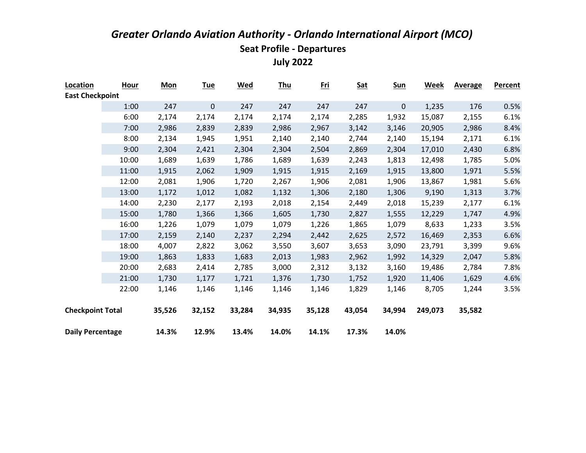| Location                | <b>Hour</b> | <b>Mon</b> | <b>Tue</b> | <u>Wed</u> | <b>Thu</b> | <u>Fri</u> | <b>Sat</b> | <b>Sun</b> | Week    | <b>Average</b> | Percent |
|-------------------------|-------------|------------|------------|------------|------------|------------|------------|------------|---------|----------------|---------|
| <b>East Checkpoint</b>  |             |            |            |            |            |            |            |            |         |                |         |
|                         | 1:00        | 247        | 0          | 247        | 247        | 247        | 247        | $\pmb{0}$  | 1,235   | 176            | 0.5%    |
|                         | 6:00        | 2,174      | 2,174      | 2,174      | 2,174      | 2,174      | 2,285      | 1,932      | 15,087  | 2,155          | 6.1%    |
|                         | 7:00        | 2,986      | 2,839      | 2,839      | 2,986      | 2,967      | 3,142      | 3,146      | 20,905  | 2,986          | 8.4%    |
|                         | 8:00        | 2,134      | 1,945      | 1,951      | 2,140      | 2,140      | 2,744      | 2,140      | 15,194  | 2,171          | 6.1%    |
|                         | 9:00        | 2,304      | 2,421      | 2,304      | 2,304      | 2,504      | 2,869      | 2,304      | 17,010  | 2,430          | 6.8%    |
|                         | 10:00       | 1,689      | 1,639      | 1,786      | 1,689      | 1,639      | 2,243      | 1,813      | 12,498  | 1,785          | 5.0%    |
|                         | 11:00       | 1,915      | 2,062      | 1,909      | 1,915      | 1,915      | 2,169      | 1,915      | 13,800  | 1,971          | 5.5%    |
|                         | 12:00       | 2,081      | 1,906      | 1,720      | 2,267      | 1,906      | 2,081      | 1,906      | 13,867  | 1,981          | 5.6%    |
|                         | 13:00       | 1,172      | 1,012      | 1,082      | 1,132      | 1,306      | 2,180      | 1,306      | 9,190   | 1,313          | 3.7%    |
|                         | 14:00       | 2,230      | 2,177      | 2,193      | 2,018      | 2,154      | 2,449      | 2,018      | 15,239  | 2,177          | 6.1%    |
|                         | 15:00       | 1,780      | 1,366      | 1,366      | 1,605      | 1,730      | 2,827      | 1,555      | 12,229  | 1,747          | 4.9%    |
|                         | 16:00       | 1,226      | 1,079      | 1,079      | 1,079      | 1,226      | 1,865      | 1,079      | 8,633   | 1,233          | 3.5%    |
|                         | 17:00       | 2,159      | 2,140      | 2,237      | 2,294      | 2,442      | 2,625      | 2,572      | 16,469  | 2,353          | 6.6%    |
|                         | 18:00       | 4,007      | 2,822      | 3,062      | 3,550      | 3,607      | 3,653      | 3,090      | 23,791  | 3,399          | 9.6%    |
|                         | 19:00       | 1,863      | 1,833      | 1,683      | 2,013      | 1,983      | 2,962      | 1,992      | 14,329  | 2,047          | 5.8%    |
|                         | 20:00       | 2,683      | 2,414      | 2,785      | 3,000      | 2,312      | 3,132      | 3,160      | 19,486  | 2,784          | 7.8%    |
|                         | 21:00       | 1,730      | 1,177      | 1,721      | 1,376      | 1,730      | 1,752      | 1,920      | 11,406  | 1,629          | 4.6%    |
|                         | 22:00       | 1,146      | 1,146      | 1,146      | 1,146      | 1,146      | 1,829      | 1,146      | 8,705   | 1,244          | 3.5%    |
|                         |             |            |            |            |            |            |            |            |         |                |         |
| <b>Checkpoint Total</b> |             | 35,526     | 32,152     | 33,284     | 34,935     | 35,128     | 43,054     | 34,994     | 249,073 | 35,582         |         |
|                         |             |            |            |            |            |            |            |            |         |                |         |
| <b>Daily Percentage</b> |             | 14.3%      | 12.9%      | 13.4%      | 14.0%      | 14.1%      | 17.3%      | 14.0%      |         |                |         |